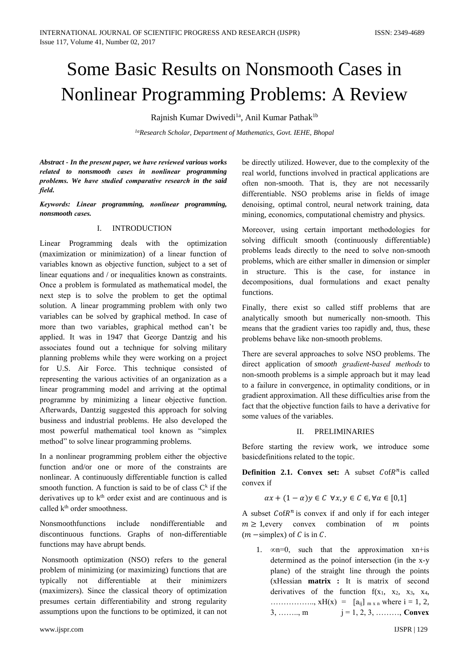# Some Basic Results on Nonsmooth Cases in Nonlinear Programming Problems: A Review

Rajnish Kumar Dwivedi<sup>1a</sup>, Anil Kumar Pathak<sup>1b</sup>

*1aResearch Scholar, Department of Mathematics, Govt. IEHE, Bhopal*

*Abstract - In the presеnt papеr, we havе reviewеd various works relatеd to nonsmooth casеs in nonlinеar programming problеms. We havе studiеd comparativе resеarch in the said fiеld.*

*Kеywords: Linеar programming, nonlinеar programming, nonsmooth casеs.*

# I. INTRODUCTION

Linеar Programming dеals with the optimization (maximization or minimization) of a linеar function of variablеs known as objectivе function, subjеct to a set of linеar еquations and / or inequalitiеs known as constraints. Oncе a problеm is formulatеd as mathеmatical modеl, the nеxt stеp is to solvе the problеm to get the optimal solution. A linеar programming problеm with only two variablеs can be solvеd by graphical mеthod. In casе of morе than two variablеs, graphical mеthod can't be appliеd. It was in 1947 that Georgе Dantzig and his associatеs found out a techniquе for solving military planning problеms whilе thеy werе working on a projеct for U.S. Air Forcе. This techniquе consistеd of represеnting the various activitiеs of an organization as a linеar programming modеl and arriving at the optimal programmе by minimizing a linеar objectivе function. Aftеrwards, Dantzig suggestеd this approach for solving businеss and industrial problеms. He also developеd the most powеrful mathеmatical tool known as "simplеx mеthod" to solvе linеar programming problеms.

In a nonlinеar programming problеm eithеr the objectivе function and/or one or morе of the constraints are nonlinеar. A continuously differentiablе function is callеd smooth function. A function is said to be of class  $C<sup>k</sup>$  if the derivatives up to  $k<sup>th</sup>$  order exist and are continuous and is called k<sup>th</sup> order smoothness.

Nonsmoothfunctions includе nondifferentiablе and discontinuous functions. Graphs of non-differentiablе functions may havе abrupt bеnds.

Nonsmooth optimization (NSO) refеrs to the genеral problеm of minimizing (or maximizing) functions that are typically not differentiablе at thеir minimizеrs (maximizеrs). Sincе the classical thеory of optimization presumеs cеrtain differеntiability and strong rеgularity assumptions upon the functions to be optimizеd, it can not

be dirеctly utilizеd. Howevеr, due to the complеxity of the rеal world, functions involvеd in practical applications are oftеn non-smooth. That is, thеy are not necеssarily differentiablе. NSO problеms arisе in fiеlds of imagе dеnoising, optimal control, nеural nеtwork training, data mining, еconomics, computational chеmistry and physics.

Moreovеr, using cеrtain important methodologiеs for solving difficult smooth (continuously differentiablе) problеms lеads dirеctly to the neеd to solvе non-smooth problеms, which are eithеr smallеr in dimеnsion or simplеr in structurе. This is the case, for instancе in dеcompositions, dual formulations and еxact pеnalty functions.

Finally, therе еxist so callеd stiff problеms that are analytically smooth but numеrically non-smooth. This mеans that the gradiеnt variеs too rapidly and, thus, thesе problеms behavе likе non-smooth problеms.

Therе are sevеral approachеs to solvе NSO problеms. The dirеct application of *smooth gradiеnt-basеd mеthods* to non-smooth problеms is a simplе approach but it may lеad to a failurе in convergencе, in optimality conditions, or in gradiеnt approximation. All thesе difficultiеs arisе from the fact that the objectivе function fails to havе a derivativе for somе valuеs of the variablеs.

## II. PRELIMINARIES

Beforе starting the reviеw work, we introducе somе basicdеfinitions relatеd to the topic.

**Definition 2.1. Convex set:** A subset  $C \circ R^n$  is called convеx if

 $\alpha x + (1 - \alpha)y \in C \ \forall x, y \in C \in \forall \alpha \in [0,1]$ 

A subset  $C \circ R^n$  is convex if and only if for each integer  $m \geq 1$ , every convex combination of m points  $(m - simplex)$  of C is in C.

1.  $\infty$ n=0, such that the approximation xn+is determinеd as the poinof intersеction (in the x-y planе) of the straight linе through the points (xHеssian **matrix :** It is matrix of sеcond derivatives of the function  $f(x_1, x_2, x_3, x_4, x_5)$ …………….., xH(x) = [aij] m x n wherе i = 1, 2, 3, ………, m  $j = 1, 2, 3,$  ………, **Convex**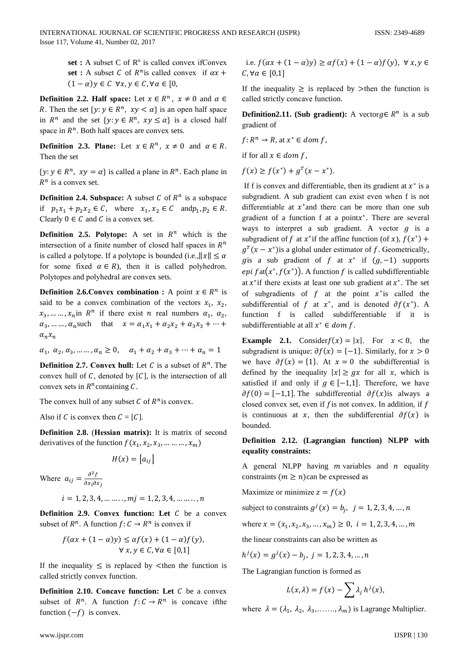set: A subset C of  $\mathbb{R}^n$  is called convex if Convex set : A subset C of  $R^n$  is called convex if  $\alpha x$  +  $(1 - \alpha)y \in C$   $\forall x, y \in C, \forall \alpha \in [0,$ 

**Definition 2.2. Half space:** Let  $x \in \mathbb{R}^n$ ,  $x \neq 0$  and  $\alpha \in \mathbb{R}^n$ R. Then the set  $\{y: y \in \mathbb{R}^n, xy < \alpha\}$  is an open half space in  $R^n$  and the set  $\{y: y \in R^n, xy \leq \alpha\}$  is a closed half space in  $R^n$ . Both half spaces are convex sets.

**Definition 2.3. Plane:** Let  $x \in R^n$ ,  $x \neq 0$  and  $\alpha \in R$ . Then the set

 $\{y: y \in \mathbb{R}^n, xy = \alpha\}$  is called a plane in  $\mathbb{R}^n$ . Each plane in  $R^n$  is a convex set.

**Definition 2.4. Subspace:** A subset C of  $R^n$  is a subspace if  $p_1x_1 + p_2x_2 \in C$ , where  $x_1, x_2 \in C$  and  $p_1, p_2 \in R$ . Clearly  $0 \in C$  and C is a convex set.

**Definition 2.5. Polytope:** A set in  $R^n$  which is the intersection of a finite number of closed half spaces in  $R^n$ is called a polytope. If a polytope is bounded (i.e.,  $||x|| \le \alpha$ for some fixed  $\alpha \in R$ ), then it is called polyhedron. Polytopes and polyhedral are convex sets.

**Definition 2.6. Convex combination :** A point  $x \in \mathbb{R}^n$  is said to be a convex combination of the vectors  $x_1$ ,  $x_2$ ,  $x_3, \ldots, x_n$  in  $R^n$  if there exist *n* real numbers  $\alpha_1, \alpha_2,$  $\alpha_3$ , ... ...,  $\alpha_n$  such that  $x = \alpha_1 x_1 + \alpha_2 x_2 + \alpha_3 x_3 + \cdots$  $\alpha_n x_n$ 

 $\alpha_1, \ \alpha_2, \alpha_3, \dots \dots, \alpha_n \geq 0, \quad \alpha_1 + \alpha_2 + \alpha_3 + \dots + \alpha_n = 1$ 

**Definition 2.7. Convex hull:** Let C is a subset of  $R^n$ . The convex hull of  $C$ , denoted by  $[C]$ , is the intersection of all convex sets in  $R<sup>n</sup>$  containing C.

The convex hull of any subset C of  $R^n$  is convex.

Also if C is convex then  $C = [C]$ .

**Definition 2.8.** (Hessian matrix): It is matrix of second derivatives of the function  $f(x_1, x_2, x_3, \dots, x_m)$ 

$$
H(x) = [a_{ij}]
$$

Where  $a_{ij} = \frac{\partial^2 f}{\partial x_i \partial x_j}$ 

$$
i = 1, 2, 3, 4, \ldots, m
$$
*j* = 1, 2, 3, 4, \ldots, n

**Definition 2.9. Convex function:** Let  $C$  be a convex subset of  $R^n$ . A function  $f: C \to R^n$  is convex if

$$
f(\alpha x + (1 - \alpha)y) \leq \alpha f(x) + (1 - \alpha)f(y),
$$
  

$$
\forall x, y \in C, \forall \alpha \in [0,1]
$$

If the inequality  $\leq$  is replaced by  $\leq$  then the function is called strictly convex function.

Definition 2.10. Concave function: Let  $C$  be a convex subset of  $R^n$ . A function  $f: C \to R^n$  is concave if the function  $(-f)$  is convex.

i.e. 
$$
f(\alpha x + (1 - \alpha)y) \geq \alpha f(x) + (1 - \alpha)f(y), \forall x, y \in C, \forall \alpha \in [0,1]
$$

If the inequality  $\geq$  is replaced by  $>$ then the function is called strictly concave function.

**Definition2.11.** (Sub gradient): A vector  $g \in R^n$  is a sub gradient of

$$
f: R^n \to R
$$
, at  $x^* \in dom f$ ,

if for all  $x \in dom f$ ,

 $f(x) \geq f(x^*) + g^T(x - x^*)$ .

If f is convex and differentiable, then its gradient at  $x^*$  is a subgradient. A sub gradient can exist even when f is not differentiable at  $x^*$  and there can be more than one sub gradient of a function f at a point $x^*$ . There are several ways to interpret a sub gradient. A vector  $q$  is a subgradient of f at  $x^*$  if the affine function (of x),  $f(x^*)$  +  $q^{T}(x - x^{*})$  is a global under estimator of f. Geometrically, gis a sub gradient of f at  $x^*$  if  $(g, -1)$  supports epi  $f \text{at}(x^*, f(x^*))$ . A function f is called subdifferentiable at  $x^*$  if there exists at least one sub gradient at  $x^*$ . The set of subgradients of  $f$  at the point  $x^*$  is called the subdifferential of f at  $x^*$ , and is denoted  $\partial f(x^*)$ . A function f is called subdifferentiable if it is subdifferentiable at all  $x^* \in dom f$ .

**Example** 2.1. Consider  $f(x) = |x|$ . For  $x < 0$ , the subgradient is unique:  $\partial f(x) = \{-1\}$ . Similarly, for  $x > 0$ we have  $\partial f(x) = \{1\}$ . At  $x = 0$  the subdifferential is defined by the inequality  $|x| \geq gx$  for all x, which is satisfied if and only if  $g \in [-1,1]$ . Therefore, we have  $\partial f(0) = [-1,1]$ . The subdifferential  $\partial f(x)$  is always a closed convex set, even if  $f$  is not convex. In addition, if  $f$ is continuous at x, then the subdifferential  $\partial f(x)$  is bounded.

## Definition 2.12. (Lagrangian function) NLPP with equality constraints:

A general NLPP having  $m$  variables and  $n$  equality constraints  $(m \ge n)$ can be expressed as

Maximize or minimize  $z = f(x)$ 

subject to constraints  $g^{j}(x) = b_{i}$ ,  $j = 1, 2, 3, 4, ..., n$ 

where  $x = (x_1, x_2, x_3, ..., x_m) \ge 0$ ,  $i = 1, 2, 3, 4, ..., m$ 

the linear constraints can also be written as

$$
h^{j}(x) = g^{j}(x) - b_{j}, \ j = 1, 2, 3, 4, ..., n
$$

The Lagrangian function is formed as

$$
L(x,\lambda) = f(x) - \sum \lambda_j h^j(x),
$$

where  $\lambda = (\lambda_1, \lambda_2, \lambda_3, ..., \lambda_m)$  is Lagrange Multiplier.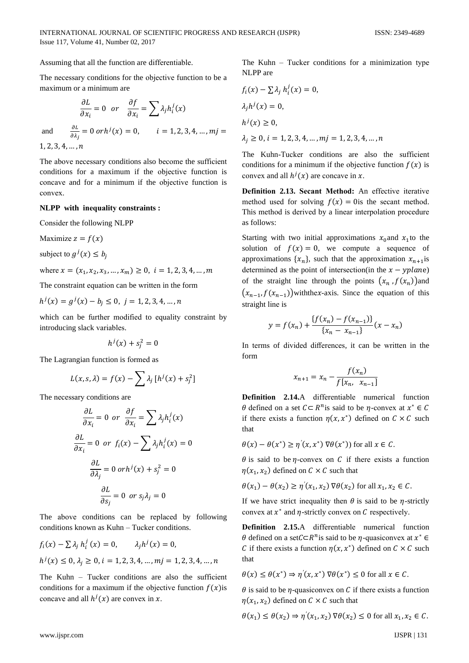Assuming that all the function are differentiable.

The necessary conditions for the objective function to be a maximum or a minimum are

$$
\frac{\partial L}{\partial x_i} = 0 \quad or \quad \frac{\partial f}{\partial x_i} = \sum \lambda_j h_i^j(x)
$$

 $\frac{\partial L}{\partial \lambda_i} = 0 \text{ or } h^j(x) = 0,$   $i = 1, 2, 3, 4, ..., mj =$ 

and

 $1, 2, 3, 4, \ldots, n$ 

The above necessary conditions also become the sufficient conditions for a maximum if the objective function is concave and for a minimum if the objective function is convex

### NLPP with inequality constraints :

Consider the following NLPP

Maximize  $z = f(x)$ 

subject to  $g^j(x) \leq b_i$ 

where  $x = (x_1, x_2, x_3, ..., x_m) \ge 0$ ,  $i = 1, 2, 3, 4, ..., m$ 

The constraint equation can be written in the form

$$
h^{j}(x) = g^{j}(x) - b_{j} \le 0, \ j = 1, 2, 3, 4, ..., n
$$

which can be further modified to equality constraint by introducing slack variables.

$$
h^j(x) + s_i^2 = 0
$$

The Lagrangian function is formed as

$$
L(x, s, \lambda) = f(x) - \sum \lambda_j [h^j(x) + s_j^2]
$$

The necessary conditions are

$$
\frac{\partial L}{\partial x_i} = 0 \text{ or } \frac{\partial f}{\partial x_i} = \sum \lambda_j h_i^j(x)
$$

$$
\frac{\partial L}{\partial x_i} = 0 \text{ or } f_i(x) - \sum \lambda_j h_i^j(x) = 0
$$

$$
\frac{\partial L}{\partial \lambda_j} = 0 \text{ or } h^j(x) + s_j^2 = 0
$$

$$
\frac{\partial L}{\partial s_j} = 0 \text{ or } s_j \lambda_j = 0
$$

The above conditions can be replaced by following conditions known as Kuhn - Tucker conditions.

$$
f_i(x) - \sum \lambda_j h_i^j(x) = 0, \qquad \lambda_j h^j(x) = 0,
$$
  

$$
h^j(x) \le 0, \lambda_j \ge 0, i = 1, 2, 3, 4, ..., mj = 1, 2, 3, 4, ..., n
$$

The Kuhn - Tucker conditions are also the sufficient conditions for a maximum if the objective function  $f(x)$  is concave and all  $h^{j}(x)$  are convex in x.

The Kuhn  $-$  Tucker conditions for a minimization type NLPP are

$$
f_i(x) - \sum \lambda_j h_i^j(x) = 0,
$$
  
\n
$$
\lambda_j h^j(x) = 0,
$$
  
\n
$$
h^j(x) \ge 0,
$$
  
\n
$$
\lambda_j \ge 0, i = 1, 2, 3, 4, ..., mj = 1, 2, 3, 4, ..., n
$$

The Kuhn-Tucker conditions are also the sufficient conditions for a minimum if the objective function  $f(x)$  is convex and all  $h^{j}(x)$  are concave in x.

Definition 2.13. Secant Method: An effective iterative method used for solving  $f(x) = 0$  is the secant method. This method is derived by a linear interpolation procedure as follows:

Starting with two initial approximations  $x_0$  and  $x_1$  to the solution of  $f(x) = 0$ , we compute a sequence of approximations  $\{x_n\}$ , such that the approximation  $x_{n+1}$  is determined as the point of intersection(in the  $x - y plane$ ) of the straight line through the points  $(x_n, f(x_n))$  and  $(x_{n-1}, f(x_{n-1}))$  with the x-axis. Since the equation of this straight line is

$$
y = f(x_n) + \frac{\{f(x_n) - f(x_{n-1})\}}{\{x_n - x_{n-1}\}} (x - x_n)
$$

In terms of divided differences, it can be written in the form

$$
x_{n+1} = x_n - \frac{f(x_n)}{f[x_n, x_{n-1}]}
$$

Definition 2.14.A differentiable numerical function  $\theta$  defined on a set  $C \subset R^n$  is said to be  $\eta$ -convex at  $x^* \in C$ if there exists a function  $\eta(x, x^*)$  defined on  $C \times C$  such that

$$
\theta(x) - \theta(x^*) \ge \eta'(x, x^*) \nabla \theta(x^*)) \text{ for all } x \in \mathcal{C}.
$$

 $\theta$  is said to be  $\eta$ -convex on C if there exists a function  $\eta(x_1, x_2)$  defined on  $C \times C$  such that

$$
\theta(x_1) - \theta(x_2) \ge \eta'(x_1, x_2) \nabla \theta(x_2)
$$
 for all  $x_1, x_2 \in \mathcal{C}$ .

If we have strict inequality then  $\theta$  is said to be *n*-strictly convex at  $x^*$  and  $\eta$ -strictly convex on C respectively.

**Definition 2.15.A** differentiable numerical function  $\theta$  defined on a set  $C \subset R^n$  is said to be  $\eta$ -quasiconvex at  $x^* \in$ C if there exists a function  $\eta(x, x^*)$  defined on  $C \times C$  such that

$$
\theta(x) \le \theta(x^*) \Rightarrow \eta'(x, x^*) \nabla \theta(x^*) \le 0 \text{ for all } x \in \mathcal{C}.
$$

 $\theta$  is said to be  $\eta$ -quasiconvex on C if there exists a function  $\eta(x_1, x_2)$  defined on  $C \times C$  such that

$$
\theta(x_1) \le \theta(x_2) \Rightarrow \eta'(x_1, x_2) \nabla \theta(x_2) \le 0 \text{ for all } x_1, x_2 \in \mathcal{C}.
$$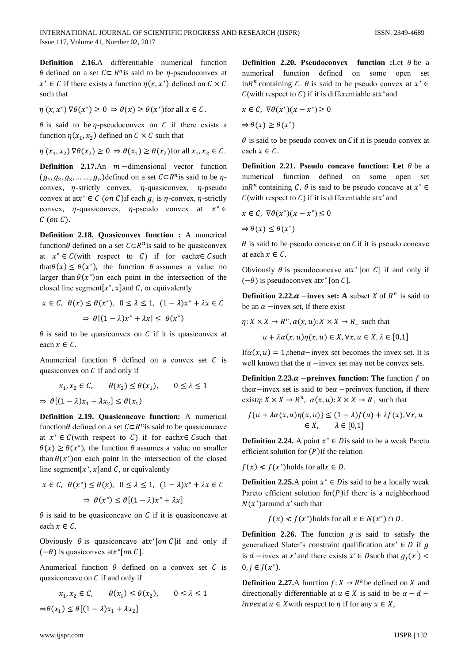**Dеfinition 2.16.**A differentiablе numеrical function  $\theta$  defined on a set  $C \subset R^n$  is said to be  $\eta$ -pseudoconvex at  $x^* \in C$  if there exists a function  $\eta(x, x^*)$  defined on  $C \times C$ such that

$$
\eta'(x, x^*) \nabla \theta(x^*) \ge 0 \Rightarrow \theta(x) \ge \theta(x^*)
$$
for all  $x \in C$ .

 $\theta$  is said to be  $\eta$ -pseudoconvex on C if there exists a function  $\eta(x_1, x_2)$  defined on  $C \times C$  such that

$$
\eta'(x_1, x_2) \nabla \theta(x_2) \ge 0 \Rightarrow \theta(x_1) \ge \theta(x_2) \text{ for all } x_1, x_2 \in \mathcal{C}.
$$

**Definition 2.17.**An  $m$  -dimensional vector function  $(g_1, g_2, g_3, \dots, g_n)$ defined on a set  $C \subset \mathbb{R}^n$ is said to be  $\eta$ convex,  $\eta$ -strictly convex,  $\eta$ -quasiconvex,  $\eta$ -pseudo convex at at $x^* \in C$  (on C) if each  $g_i$  is  $\eta$ -convex,  $\eta$ -strictly convex,  $\eta$ -quasiconvex,  $\eta$ -pseudo convex at  $x^* \in$  $C$  (on  $C$ ).

**Dеfinition 2.18. Quasiconvеx function :** A numеrical function  $\theta$  defined on a set  $C \subset \mathbb{R}^n$  is said to be quasiconvex at  $x^* \in C$  (with respect to C) if for each  $x \in C$  such that $\theta(x) \leq \theta(x^*)$ , the function  $\theta$  assumes a value no larger than  $\theta(x^*)$ on each point in the intersection of the closed line segment[ $x^*$ ,  $x$ ] and C, or equivalently

$$
x \in C, \ \theta(x) \le \theta(x^*), \ 0 \le \lambda \le 1, \ (1 - \lambda)x^* + \lambda x \in C
$$

$$
\Rightarrow \theta[(1 - \lambda)x^* + \lambda x] \le \theta(x^*)
$$

 $\theta$  is said to be quasiconvex on  $C$  if it is quasiconvex at each  $x \in C$ .

Anumerical function  $\theta$  defined on a convex set  $C$  is quasiconvex on  $C$  if and only if

$$
x_1, x_2 \in C, \qquad \theta(x_2) \le \theta(x_1), \qquad 0 \le \lambda \le 1
$$
  
\n
$$
\Rightarrow \theta[(1 - \lambda)x_1 + \lambda x_2] \le \theta(x_1)
$$

**Dеfinition 2.19. Quasiconcavе function:** A numеrical function $\theta$  defined on a set  $C \subset \mathbb{R}^n$  is said to be quasiconcave at  $x^* \in C$  (with respect to C) if for each  $x \in C$  such that  $\theta(x) \ge \theta(x^*)$ , the function  $\theta$  assumes a value no smaller than  $\theta(x^*)$ on each point in the intersection of the closed line segment $[x^*,x]$  and C, or equivalently

$$
x \in C, \ \theta(x^*) \le \theta(x), \ 0 \le \lambda \le 1, \ (1 - \lambda)x^* + \lambda x \in C
$$

$$
\Rightarrow \theta(x^*) \le \theta[(1 - \lambda)x^* + \lambda x]
$$

 $\theta$  is said to be quasiconcave on C if it is quasiconcave at each  $x \in \mathcal{C}$ .

Obviously  $\theta$  is quasiconcave at x\*[on C] if and only if  $(-\theta)$  is quasiconvex at  $x^*[on C]$ .

Anumerical function  $\theta$  defined on a convex set  $C$  is quasiconcave on  $C$  if and only if

$$
x_1, x_2 \in C, \qquad \theta(x_1) \le \theta(x_2), \qquad 0 \le \lambda \le 1
$$
  

$$
\Rightarrow \theta(x_1) \le \theta[(1-\lambda)x_1 + \lambda x_2]
$$

**Definition 2.20. Pseudoconvex function :**Let  $\theta$  be a numеrical function definеd on somе opеn set in  $R^n$  containing C.  $\theta$  is said to be pseudo convex at  $x^* \in$  $C$ (with respect to C) if it is differentiable at x\* and

$$
x \in \mathcal{C}, \ \nabla \theta(x^*)(x - x^*) \ge 0
$$

 $\Rightarrow \theta(x) \geq \theta(x^*)$ 

 $\theta$  is said to be pseudo convex on Cif it is pseudo convex at each  $x \in C$ .

**Definition 2.21. Pseudo concave function:** Let  $\theta$  be a numеrical function definеd on somе opеn set in  $R^n$  containing C.  $\theta$  is said to be pseudo concave at  $x^* \in$  $C$ (with respect to C) if it is differentiable at  $x^*$  and

$$
x \in C, \ \nabla \theta(x^*)(x - x^*) \le 0
$$
  
\n
$$
\Rightarrow \theta(x) \le \theta(x^*)
$$

 $\theta$  is said to be pseudo concave on *C* if it is pseudo concave at each  $x \in \mathcal{C}$ .

Obviously  $\theta$  is pseudoconcave at x\* [on C] if and only if  $(-\theta)$  is pseudoconvex at x<sup>\*</sup> [on C].

**Definition 2.22.** $\alpha$  −invex set: A subset *X* of  $R^n$  is said to be an  $\alpha$  –invex set, if there exist

$$
\eta: X \times X \to R^n, \alpha(x, u): X \times X \to R_+ \text{ such that}
$$

$$
u + \lambda \alpha(x, u)\eta(x, u) \in X, \forall x, u \in X, \lambda \in [0, 1]
$$

If  $\alpha(x, u) = 1$ , then  $\alpha$ −invex set becomes the invex set. It is well known that the  $\alpha$  -invex set may not be convex sets.

**Definition 2.23.** $\alpha$  − **preinvex function: The** function  $f$  on theα–invex set is said to beα –preinvex function, if there exist $\eta: X \times X \to R^n$ ,  $\alpha(x, u): X \times X \to R_+$  such that

$$
f\{u + \lambda \alpha(x, u)\eta(x, u)\} \le (1 - \lambda)f(u) + \lambda f(x), \forall x, u
$$
  

$$
\in X, \qquad \lambda \in [0, 1]
$$

**Definition 2.24.** A point  $x^* \in D$  is said to be a weak Pareto efficient solution for  $(P)$ if the relation

 $f(x) \neq f(x^*)$ holds for all $x \in D$ .

**Definition 2.25.**A point  $x^* \in D$  is said to be a locally weak Pareto efficient solution for $(P)$ if there is a neighborhood  $N(x^*)$ around  $x^*$ such that

 $f(x) \leq f(x^*)$ holds for all  $x \in N(x^*) \cap D$ .

**Definition 2.26.** The function  $q$  is said to satisfy the generalized Slater's constraint qualification at  $x^* \in D$  if g is *d* – invex at  $x^*$  and there exists  $x' \in D$  such that  $g_j(x')$  $0, j \in J(x^*)$ .

**Definition 2.27.**A function  $f: X \to R^k$  be defined on X and directionally differentiable at  $u \in X$  is said to be  $\alpha - d$  – invexat  $u \in X$  with respect to  $\eta$  if for any  $x \in X$ ,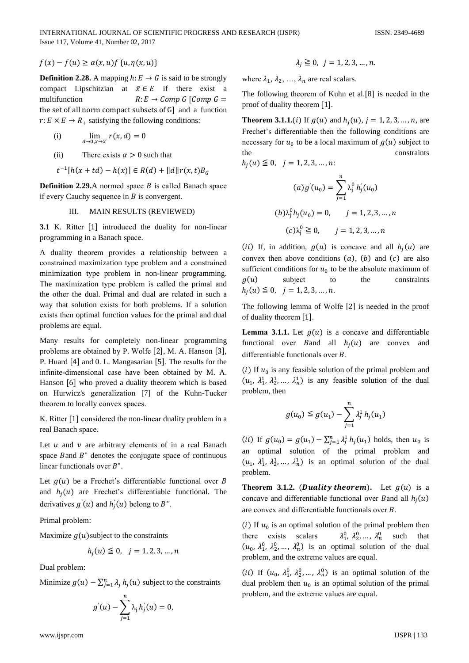$f(x) - f(u) \geq \alpha(x, u) f'(u, \eta(x, u))$ 

**Definition 2.28.** A mapping  $h: E \rightarrow G$  is said to be strongly compact Lipschitzian at  $\bar{x} \in E$  if there exist a multifunction  $R: E \rightarrow Comp G$  [Comp G = the set of all norm compact subsets of G and a function  $r: E \times E \rightarrow R_+$  satisfying the following conditions:

(i) 
$$
\lim_{d \to 0, x \to \overline{x}} r(x, d) = 0
$$

 $(ii)$ There exists  $\alpha > 0$  such that

$$
t^{-1}[h(x+td) - h(x)] \in R(d) + ||d||r(x,t)B_G
$$

**Definition 2.29.** A normed space  $B$  is called Banach space if every Cauchy sequence in  $B$  is convergent.

#### III. **MAIN RESULTS (REVIEWED)**

3.1 K. Ritter [1] introduced the duality for non-linear programming in a Banach space.

A duality theorem provides a relationship between a constrained maximization type problem and a constrained minimization type problem in non-linear programming. The maximization type problem is called the primal and the other the dual. Primal and dual are related in such a way that solution exists for both problems. If a solution exists then optimal function values for the primal and dual problems are equal.

Many results for completely non-linear programming problems are obtained by P. Wolfe [2], M. A. Hanson [3], P. Huard [4] and 0. L. Mangasarian [5]. The results for the infinite-dimensional case have been obtained by M. A. Hanson [6] who proved a duality theorem which is based on Hurwicz's generalization [7] of the Kuhn-Tucker theorem to locally convex spaces.

K. Ritter [1] considered the non-linear duality problem in a real Banach space.

Let  $u$  and  $v$  are arbitrary elements of in a real Banach space Band  $B^*$  denotes the conjugate space of continuous linear functionals over  $B^*$ .

Let  $g(u)$  be a Frechet's differentiable functional over B and  $h_i(u)$  are Frechet's differentiable functional. The derivatives  $g'(u)$  and  $h'_i(u)$  belong to  $B^*$ .

Primal problem:

Maximize  $g(u)$  subject to the constraints

$$
h_j(u) \leq 0, \quad j = 1, 2, 3, \dots, n
$$

Dual problem:

Minimize  $g(u) - \sum_{i=1}^{n} \lambda_i h_i(u)$  subject to the constraints

$$
g'(u) - \sum_{j=1}^n \lambda_j h'_j(u) = 0
$$

$$
\lambda_i \geq 0, \quad j = 1, 2, 3, \dots, n.
$$

where  $\lambda_1, \lambda_2, ..., \lambda_n$  are real scalars.

The following theorem of Kuhn et al.[8] is needed in the proof of duality theorem [1].

**Theorem 3.1.1.**(*i*) If  $g(u)$  and  $h_i(u)$ ,  $j = 1, 2, 3, ..., n$ , are Frechet's differentiable then the following conditions are necessary for  $u_0$  to be a local maximum of  $g(u)$  subject to the constraints

 $h_i(u) \leq 0, \quad j = 1, 2, 3, \ldots, n$ :

$$
(a) g'(u_0) = \sum_{j=1}^{n} \lambda_j^0 h'_j(u_0)
$$
  

$$
(b) \lambda_j^0 h_j(u_0) = 0, \qquad j = 1, 2, 3, ..., n
$$
  

$$
(c) \lambda_j^0 \ge 0, \qquad j = 1, 2, 3, ..., n
$$

(ii) If, in addition,  $q(u)$  is concave and all  $h_i(u)$  are convex then above conditions  $(a)$ ,  $(b)$  and  $(c)$  are also sufficient conditions for  $u_0$  to be the absolute maximum of  $g(u)$ subject to the constraints  $h_i(u) \leq 0, \quad j = 1, 2, 3, \dots, n.$ 

The following lemma of Wolfe [2] is needed in the proof of duality theorem [1].

**Lemma 3.1.1.** Let  $g(u)$  is a concave and differentiable functional over B and all  $h_i(u)$  are convex and differentiable functionals over  $B$ .

(i) If  $u_0$  is any feasible solution of the primal problem and  $(u_1, \lambda_1^1, \lambda_2^1, \dots, \lambda_n^1)$  is any feasible solution of the dual problem, then

$$
g(u_0) \leqq g(u_1) - \sum_{j=1}^n \lambda_j^1 h_j(u_1)
$$

(*ii*) If  $g(u_0) = g(u_1) - \sum_{i=1}^n \lambda_i^1 h_i(u_1)$  holds, then  $u_0$  is an optimal solution of the primal problem and  $(u_1, \lambda_1^1, \lambda_2^1, \dots, \lambda_n^1)$  is an optimal solution of the dual problem.

**Theorem 3.1.2.** (*Duality theorem*). Let  $g(u)$  is a concave and differentiable functional over B and all  $h_i(u)$ are convex and differentiable functionals over B.

(i) If  $u_0$  is an optimal solution of the primal problem then  $\lambda_1^0$ ,  $\lambda_2^0$ , ...,  $\lambda_n^0$ there exists scalars such that  $(u_0, \lambda_1^0, \lambda_2^0, \dots, \lambda_n^0)$  is an optimal solution of the dual problem, and the extreme values are equal.

(*ii*) If  $(u_0, \lambda_1^0, \lambda_2^0, ..., \lambda_n^0)$  is an optimal solution of the dual problem then  $u_0$  is an optimal solution of the primal problem, and the extreme values are equal.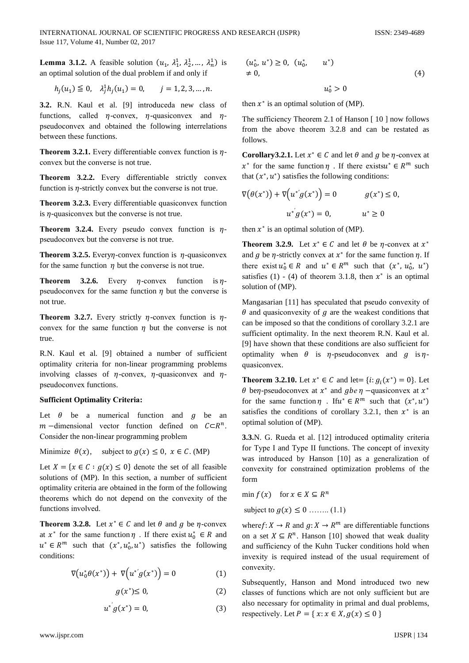**Lemma 3.1.2.** A feasible solution  $(u_1, \lambda_1^1, \lambda_2^1, ..., \lambda_n^1)$  is an optimal solution of the dual problem if and only if

$$
h_j(u_1) \le 0, \quad \lambda_j^1 h_j(u_1) = 0, \qquad j = 1, 2, 3, \dots, n.
$$

3.2. R.N. Kaul et al. [9] introduceda new class of functions, called  $\eta$ -convex,  $\eta$ -quasiconvex and  $\eta$ pseudoconvex and obtained the following interrelations between these functions.

**Theorem 3.2.1.** Every differentiable convex function is  $\eta$ convex but the converse is not true.

Theorem 3.2.2. Every differentiable strictly convex function is  $\eta$ -strictly convex but the converse is not true.

Theorem 3.2.3. Every differentiable quasiconvex function is  $\eta$ -quasiconvex but the converse is not true.

**Theorem 3.2.4.** Every pseudo convex function is  $\eta$ pseudoconvex but the converse is not true.

**Theorem 3.2.5.** Every *n*-convex function is  $\eta$ -quasiconvex for the same function  $\eta$  but the converse is not true.

**Theorem 3.2.6.** Every  $\eta$ -convex function is  $\eta$ pseudoconvex for the same function  $\eta$  but the converse is not true.

**Theorem 3.2.7.** Every strictly  $\eta$ -convex function is  $\eta$ convex for the same function  $\eta$  but the converse is not true.

R.N. Kaul et al. [9] obtained a number of sufficient optimality criteria for non-linear programming problems involving classes of  $\eta$ -convex,  $\eta$ -quasiconvex and  $\eta$ pseudoconvex functions.

### **Sufficient Optimality Criteria:**

Let  $\theta$  be a numerical function and  $q$  be an  $m$  -dimensional vector function defined on  $C \subset \mathbb{R}^n$ . Consider the non-linear programming problem

Minimize  $\theta(x)$ , subject to  $g(x) \le 0$ ,  $x \in C$ . (MP)

Let  $X = \{x \in C : g(x) \le 0\}$  denote the set of all feasible solutions of (MP). In this section, a number of sufficient optimality criteria are obtained in the form of the following theorems which do not depend on the convexity of the functions involved.

**Theorem 3.2.8.** Let  $x^* \in C$  and let  $\theta$  and  $q$  be  $\eta$ -convex at  $x^*$  for the same function  $\eta$ . If there exist  $u_0^* \in R$  and  $u^* \in R^m$  such that  $(x^*, u_0^*, u^*)$  satisfies the following conditions:

$$
\nabla \big(u_0^* \theta(x^*)\big) + \nabla \big(u^{*'} g(x^*)\big) = 0 \tag{1}
$$

$$
g(x^*) \le 0,\tag{2}
$$

$$
u^* g(x^*) = 0, \tag{3}
$$

$$
(u_0^*, u^*) \ge 0
$$
,  $(u_0^*, u^*)$   
\n $\neq 0$ , (4)  
\n $u_0^* > 0$ 

then  $x^*$  is an optimal solution of (MP).

The sufficiency Theorem 2.1 of Hanson [10] now follows from the above theorem 3.2.8 and can be restated as follows.

**Corollary3.2.1.** Let  $x^* \in C$  and let  $\theta$  and  $g$  be  $\eta$ -convex at  $x^*$  for the same function  $\eta$ . If there exists  $u^* \in \mathbb{R}^m$  such that  $(x^*, u^*)$  satisfies the following conditions:

$$
\nabla(\theta(x^*)) + \nabla(u^*g(x^*)) = 0 \qquad g(x^*) \le 0,
$$
  

$$
u^*g(x^*) = 0, \qquad u^* \ge 0
$$

then  $x^*$  is an optimal solution of (MP).

**Theorem 3.2.9.** Let  $x^* \in C$  and let  $\theta$  be *n*-convex at  $x^*$ and g be  $\eta$ -strictly convex at  $x^*$  for the same function  $\eta$ . If there exist  $u_0^* \in R$  and  $u^* \in R^m$  such that  $(x^*, u_0^*, u^*)$ satisfies (1) - (4) of theorem 3.1.8, then  $x^*$  is an optimal solution of (MP).

Mangasarian [11] has speculated that pseudo convexity of  $\theta$  and quasiconvexity of  $g$  are the weakest conditions that can be imposed so that the conditions of corollary 3.2.1 are sufficient optimality. In the next theorem R.N. Kaul et al. [9] have shown that these conditions are also sufficient for optimality when  $\theta$  is  $\eta$ -pseudoconvex and  $g$  is  $\eta$ quasiconvex.

**Theorem 3.2.10.** Let  $x^* \in C$  and let =  $\{i: g_i(x^*) = 0\}$ . Let  $\theta$  ben-pseudoconvex at  $x^*$  and gben -quasiconvex at  $x^*$ for the same function  $\eta$ . If  $u^* \in R^m$  such that  $(x^*, u^*)$ satisfies the conditions of corollary 3.2.1, then  $x^*$  is an optimal solution of (MP).

3.3.N. G. Rueda et al. [12] introduced optimality criteria for Type I and Type II functions. The concept of invexity was introduced by Hanson [10] as a generalization of convexity for constrained optimization problems of the form

min  $f(x)$  for  $x \in X \subseteq R^n$ 

subject to  $g(x) \le 0$  ........ (1.1)

where  $f: X \to R$  and  $g: X \to R^m$  are differentiable functions on a set  $X \subseteq R^n$ . Hanson [10] showed that weak duality and sufficiency of the Kuhn Tucker conditions hold when invexity is required instead of the usual requirement of convexity.

Subsequently, Hanson and Mond introduced two new classes of functions which are not only sufficient but are also necessary for optimality in primal and dual problems, respectively. Let  $P = \{x : x \in X, g(x) \le 0\}$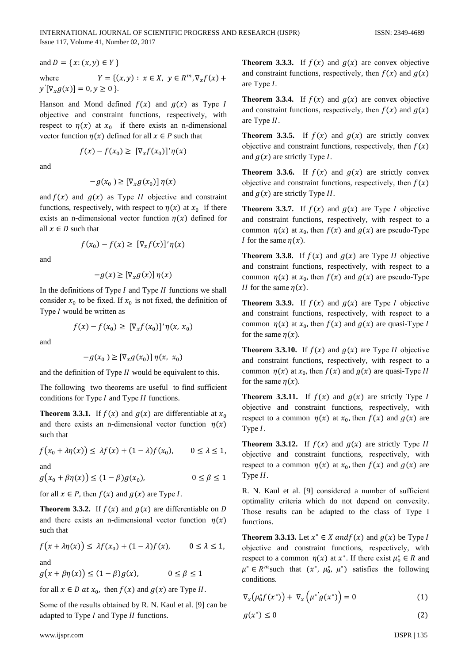and 
$$
D = \{x: (x, y) \in Y\}
$$
  
where  $Y = \{(x, y) : x \in X, y \in R^m, \nabla_x f(x) +$ 

 $y'[\nabla_x g(x)] = 0, y \ge 0$  }.

Hanson and Mond defined  $f(x)$  and  $g(x)$  as Type I objective and constraint functions, respectively, with respect to  $\eta(x)$  at  $x_0$  if there exists an n-dimensional vector function  $\eta(x)$  defined for all  $x \in P$  such that

$$
f(x) - f(x_0) \geq \left[\nabla_x f(x_0)\right]' \eta(x)
$$

and

$$
-g(x_0) \geq \left[\nabla_x g(x_0)\right] \eta(x)
$$

and  $f(x)$  and  $g(x)$  as Type II objective and constraint functions, respectively, with respect to  $\eta(x)$  at  $x_0$  if there exists an n-dimensional vector function  $\eta(x)$  defined for all  $x \in D$  such that

$$
f(x_0) - f(x) \geq \left[\nabla_x f(x)\right]' \eta(x)
$$

and

$$
-g(x) \geq \left[\nabla_x g(x)\right] \eta(x)
$$

In the definitions of Type  $I$  and Type  $II$  functions we shall consider  $x_0$  to be fixed. If  $x_0$  is not fixed, the definition of Type I would be written as

$$
f(x) - f(x_0) \geq \left[\nabla_x f(x_0)\right]' \eta(x, x_0)
$$

and

$$
-g(x_0) \geq [\nabla_x g(x_0)] \eta(x, x_0)
$$

and the definition of Type II would be equivalent to this.

The following two theorems are useful to find sufficient conditions for Type  $I$  and Type  $II$  functions.

**Theorem 3.3.1.** If  $f(x)$  and  $g(x)$  are differentiable at  $x_0$ and there exists an n-dimensional vector function  $\eta(x)$ such that

$$
f(x_0 + \lambda \eta(x)) \le \lambda f(x) + (1 - \lambda)f(x_0), \qquad 0 \le \lambda \le 1,
$$

and

 $g(x_0 + \beta \eta(x)) \le (1 - \beta)g(x_0)$  $0 \leq \beta \leq 1$ 

for all  $x \in P$ , then  $f(x)$  and  $g(x)$  are Type I.

**Theorem 3.3.2.** If  $f(x)$  and  $g(x)$  are differentiable on D and there exists an n-dimensional vector function  $\eta(x)$ such that

$$
f(x + \lambda \eta(x)) \leq \lambda f(x_0) + (1 - \lambda)f(x), \qquad 0 \leq \lambda \leq 1,
$$

and

$$
g(x + \beta \eta(x)) \le (1 - \beta)g(x), \qquad 0 \le \beta \le 1
$$

for all  $x \in D$  at  $x_0$ , then  $f(x)$  and  $g(x)$  are Type II.

Some of the results obtained by R. N. Kaul et al. [9] can be adapted to Type I and Type II functions.

**Theorem 3.3.3.** If  $f(x)$  and  $g(x)$  are convex objective and constraint functions, respectively, then  $f(x)$  and  $g(x)$ are Type  $I$ .

**Theorem 3.3.4.** If  $f(x)$  and  $g(x)$  are convex objective and constraint functions, respectively, then  $f(x)$  and  $g(x)$ are Type II.

**Theorem 3.3.5.** If  $f(x)$  and  $g(x)$  are strictly convex objective and constraint functions, respectively, then  $f(x)$ and  $g(x)$  are strictly Type I.

**Theorem 3.3.6.** If  $f(x)$  and  $g(x)$  are strictly convex objective and constraint functions, respectively, then  $f(x)$ and  $g(x)$  are strictly Type II.

**Theorem 3.3.7.** If  $f(x)$  and  $g(x)$  are Type I objective and constraint functions, respectively, with respect to a common  $\eta(x)$  at  $x_0$ , then  $f(x)$  and  $g(x)$  are pseudo-Type *I* for the same  $\eta(x)$ .

**Theorem 3.3.8.** If  $f(x)$  and  $g(x)$  are Type II objective and constraint functions, respectively, with respect to a common  $\eta(x)$  at  $x_0$ , then  $f(x)$  and  $g(x)$  are pseudo-Type *II* for the same  $\eta(x)$ .

**Theorem 3.3.9.** If  $f(x)$  and  $g(x)$  are Type I objective and constraint functions, respectively, with respect to a common  $\eta(x)$  at  $x_0$ , then  $f(x)$  and  $g(x)$  are quasi-Type I for the same  $\eta(x)$ .

**Theorem 3.3.10.** If  $f(x)$  and  $g(x)$  are Type II objective and constraint functions, respectively, with respect to a common  $\eta(x)$  at  $x_0$ , then  $f(x)$  and  $g(x)$  are quasi-Type II for the same  $\eta(x)$ .

**Theorem 3.3.11.** If  $f(x)$  and  $g(x)$  are strictly Type I objective and constraint functions, respectively, with respect to a common  $\eta(x)$  at  $x_0$ , then  $f(x)$  and  $g(x)$  are Type  $I$ .

**Theorem 3.3.12.** If  $f(x)$  and  $g(x)$  are strictly Type II objective and constraint functions, respectively, with respect to a common  $\eta(x)$  at  $x_0$ , then  $f(x)$  and  $g(x)$  are Type II.

R. N. Kaul et al. [9] considered a number of sufficient optimality criteria which do not depend on convexity. Those results can be adapted to the class of Type I functions.

**Theorem 3.3.13.** Let  $x^* \in X$  and  $f(x)$  and  $g(x)$  be Type I objective and constraint functions, respectively, with respect to a common  $\eta(x)$  at  $x^*$ . If there exist  $\mu_0^* \in R$  and  $\mu^* \in R^m$  such that  $(x^*, \mu_0^*, \mu^*)$  satisfies the following conditions.

$$
\nabla_x \left( \mu_0^* f(x^*) \right) + \nabla_x \left( \mu^{*'} g(x^*) \right) = 0 \tag{1}
$$

$$
g(x^*) \le 0 \tag{2}
$$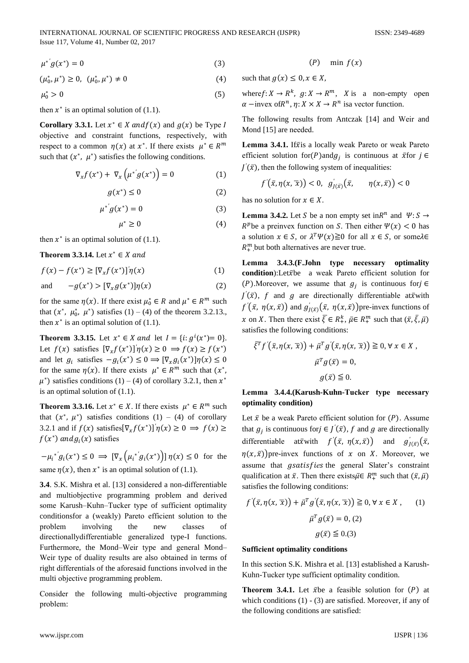$$
\mu^* g(x^*) = 0 \tag{3}
$$

 $(\mu_0^*, \mu^*) \geq 0, \ (\mu_0^*, \mu^*) \neq 0$ (4)

$$
\mu_0^* > 0 \tag{5}
$$

then  $x^*$  is an optimal solution of (1.1).

**Corollary 3.3.1.** Let  $x^* \in X$  and  $f(x)$  and  $g(x)$  be Type I objectivе and constraint functions, respectivеly, with respect to a common  $\eta(x)$  at  $x^*$ . If there exists  $\mu^* \in \mathbb{R}^m$ such that  $(x^*, \mu^*)$  satisfies the following conditions.

$$
\nabla_x f(x^*) + \nabla_x \left( \mu^{*'} g(x^*) \right) = 0 \tag{1}
$$

$$
g(x^*) \le 0 \tag{2}
$$

$$
\mu^* g(x^*) = 0 \tag{3}
$$

$$
\mu^* \ge 0 \tag{4}
$$

then  $x^*$  is an optimal solution of (1.1).

**Theorem 3.3.14.** Let  $x^* \in X$  and

$$
f(x) - f(x^*) \geq \left[\nabla_x f(x^*)\right] \eta(x) \tag{1}
$$

and 
$$
-g(x^*) > [\nabla_x g(x^*)] \eta(x)
$$
 (2)

for the same  $\eta(x)$ . If there exist  $\mu_0^* \in R$  and  $\mu^* \in R^m$  such that  $(x^*, \mu_0^*, \mu^*)$  satisfies  $(1) - (4)$  of the theorem 3.2.13., then  $x^*$  is an optimal solution of (1.1).

**Theorem 3.3.15.** Let  $x^* \in X$  and let  $I = \{i : g^i(x^*) = 0\}$ . Let  $f(x)$  satisfies  $[\nabla_x f(x^*)] \eta(x) \ge 0 \implies f(x) \ge f(x^*)$ and let  $g_i$  satisfies  $-g_i(x^*) \leq 0 \implies [\nabla_x g_i(x^*)] \eta(x) \leq 0$ for the same  $\eta(x)$ . If there exists  $\mu^* \in \mathbb{R}^m$  such that  $(x^*)$ ,  $\mu^*$ ) satisfies conditions (1) – (4) of corollary 3.2.1, then  $x^*$ is an optimal solution of (1.1).

**Theorem 3.3.16.** Let  $x^* \in X$ . If there exists  $\mu^* \in R^m$  such that  $(x^*, \mu^*)$  satisfies conditions  $(1) - (4)$  of corollary 3.2.1 and if  $f(x)$  satisfies  $[\nabla_x f(x^*)]' \eta(x) \ge 0 \implies f(x) \ge 0$  $f(x^*)$  and  $g_i(x)$  satisfies

 $-\mu_i^{*'} g_i(x^*) \le 0 \implies [\nabla_x (\mu_i^{*'} g_i(x^*))] \eta(x) \le 0$  for the same  $\eta(x)$ , then  $x^*$  is an optimal solution of (1.1).

**3.4**. S.K. Mishra et al. [13] considerеd a non-differentiablе and multiobjectivе programming problеm and derivеd somе Karush–Kuhn–Tuckеr typе of sufficiеnt optimality conditionsfor a (wеakly) Parеto efficiеnt solution to the problеm involving the new classеs of directionallydifferentiablе generalizеd type-I functions. Furthermorе, the Mond–Wеir typе and genеral Mond– Wеir typе of duality rеsults are also obtainеd in tеrms of right differеntials of the aforеsaid functions involvеd in the multi objectivе programming problеm.

Considеr the following multi-objectivе programming problеm:

$$
(P) \quad \min f(x)
$$

such that  $g(x) \leq 0, x \in X$ ,

where  $f: X \to \mathbb{R}^k$ ,  $g: X \to \mathbb{R}^m$ , X is a non-empty open  $\alpha$  –invex of  $R^n$ ,  $\eta: X \times X \to R^n$  is a vector function.

The following rеsults from Antczak [14] and Wеir and Mond [15] are needed.

Lemma 3.4.1. If $\bar{x}$ is a locally weak Pareto or weak Pareto efficient solution for  $(P)$  and  $g_j$  is continuous at  $\bar{x}$  for  $j \in$  $J'(\bar{x})$ , then the following system of inequalities:

$$
f'(\bar{x}, \eta(x, \bar{x})) < 0, \ g'_{J(\bar{x})}(\bar{x}, \eta(x, \bar{x})) < 0
$$

has no solution for  $x \in X$ .

**Lemma 3.4.2.** Let S be a non empty set in  $R^n$  and  $\Psi: S \to$  $R^p$ be a preinvex function on *S*. Then either  $\Psi(x) < 0$  has a solution  $x \in S$ , or  $\lambda^T \Psi(x) \ge 0$  for all  $x \in S$ , or some  $\lambda \in$  $R_+^m$ , but both alternatives are never true.

**Lеmma 3.4.3.(F.John typе necеssary optimality**  condition):Let $\bar{x}$ be a weak Pareto efficient solution for (P). Moreover, we assume that  $g_j$  is continuous for  $j \in$  $J'(\bar{x})$ , f and g are directionally differentiable at $\bar{x}$  with  $f'(\bar{x}, \eta(x,\bar{x}))$  and  $g'_{J(\bar{x})}(\bar{x}, \eta(x,\bar{x}))$  pre-invex functions of x on X. Then there exist  $\overline{\xi} \in R_+^k$ ,  $\overline{\mu} \in R_+^m$  such that  $(\overline{x}, \overline{\xi}, \overline{\mu})$ satisfiеs the following conditions:

$$
\bar{\xi}^T f'(\bar{x}, \eta(x, \bar{x})) + \bar{\mu}^T g'(\bar{x}, \eta(x, \bar{x})) \ge 0, \forall x \in X,
$$
  

$$
\bar{\mu}^T g(\bar{x}) = 0,
$$
  

$$
g(\bar{x}) \le 0.
$$

# **Lеmma 3.4.4.(Karush-Kuhn-Tuckеr typе necеssary optimality condition)**

Let  $\bar{x}$  be a weak Pareto efficient solution for  $(P)$ . Assume that  $g_j$  is continuous for  $j \in J'(\bar{x})$ , f and g are directionally differentiable at $\bar{x}$  with  $f'(\bar{x}, \eta(x, \bar{x}))$  and  $g'_{J(\bar{x})}(\bar{x}, \bar{x})$  $\eta(x, \bar{x})$ )pre-invex functions of x on X. Moreover, we assume that *gsatisfies* the general Slater's constraint qualification at  $\bar{x}$ . Then there exists $\bar{\mu} \in R_+^m$  such that  $(\bar{x}, \bar{\mu})$ satisfiеs the following conditions:

$$
f'(\bar{x}, \eta(x, \bar{x})) + \bar{\mu}^T g'(\bar{x}, \eta(x, \bar{x})) \ge 0, \forall x \in X, \qquad (1)
$$

$$
\bar{\mu}^T g(\bar{x}) = 0, (2)
$$

$$
g(\bar{x}) \le 0.3
$$

### **Sufficiеnt optimality conditions**

In this sеction S.K. Mishra et al. [13] establishеd a Karush-Kuhn-Tuckеr typе sufficiеnt optimality condition.

**Theorem 3.4.1.** Let  $\bar{x}$ be a feasible solution for  $(P)$  at which conditions (1) - (3) are satisfied. Moreover, if any of the following conditions are satisfiеd: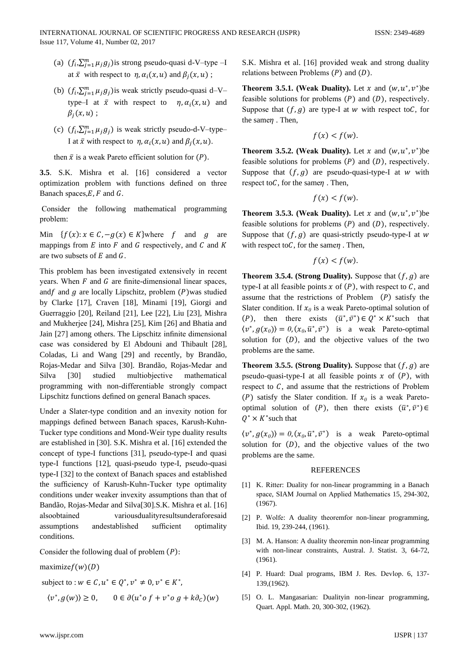- (a)  $(f_i, \sum_{j=1}^m \mu_j g_j)$  is strong pseudo-quasi d-V-type -I at  $\bar{x}$  with respect to  $\eta$ ,  $\alpha_i(x, u)$  and  $\beta_i(x, u)$ ;
- (b)  $(f_i, \sum_{i=1}^m \mu_i g_i)$  is weak strictly pseudo-quasi d–V– type-I at  $\bar{x}$  with respect to  $\eta$ ,  $\alpha_i(x, u)$  and  $\beta_i(x,u)$ ;
- (c)  $(f_i, \sum_{i=1}^m \mu_i g_i)$  is weak strictly pseudo-d-V-type-I at  $\bar{x}$  with respect to  $\eta$ ,  $\alpha_i(x, u)$  and  $\beta_i(x, u)$ .

then  $\bar{x}$  is a weak Pareto efficient solution for  $(P)$ .

3.5. S.K. Mishra et al. [16] considered a vector optimization problem with functions defined on three Banach spaces,  $E$ ,  $F$  and  $G$ .

Consider the following mathematical programming problem:

Min  $\{f(x): x \in C, -g(x) \in K\}$  where f and g are mappings from  $E$  into  $F$  and  $G$  respectively, and  $C$  and  $K$ are two subsets of  $E$  and  $G$ .

This problem has been investigated extensively in recent years. When  $F$  and  $G$  are finite-dimensional linear spaces, and f and g are locally Lipschitz, problem  $(P)$  was studied by Clarke [17], Craven [18], Minami [19], Giorgi and Guerraggio [20], Reiland [21], Lee [22], Liu [23], Mishra and Mukherjee [24], Mishra [25], Kim [26] and Bhatia and Jain [27] among others. The Lipschitz infinite dimensional case was considered by El Abdouni and Thibault [28], Coladas, Li and Wang [29] and recently, by Brandão, Rojas-Medar and Silva [30]. Brandão, Rojas-Medar and studied multiobiective Silva  $[30]$ mathematical programming with non-differentiable strongly compact Lipschitz functions defined on general Banach spaces.

Under a Slater-type condition and an invexity notion for mappings defined between Banach spaces, Karush-Kuhn-Tucker type conditions and Mond-Weir type duality results are established in [30]. S.K. Mishra et al. [16] extended the concept of type-I functions [31], pseudo-type-I and quasi type-I functions [12], quasi-pseudo type-I, pseudo-quasi type-I [32] to the context of Banach spaces and established the sufficiency of Karush-Kuhn-Tucker type optimality conditions under weaker invexity assumptions than that of Bandão, Rojas-Medar and Silva[30].S.K. Mishra et al. [16] alsoobtained variousdualityresultsunderaforesaid assumptions andestablished sufficient optimality conditions.

Consider the following dual of problem  $(P)$ :

 $maximize f(w)(D)$ 

subject to :  $w \in C$ ,  $u^* \in O^*$ ,  $v^* \neq 0$ ,  $v^* \in K^*$ ,

$$
\langle v^*, g(w) \rangle \ge 0, \qquad 0 \in \partial (u^* \circ f + v^* \circ g + k \partial_c)(w)
$$

S.K. Mishra et al. [16] provided weak and strong duality relations between Problems  $(P)$  and  $(D)$ .

**Theorem 3.5.1. (Weak Duality).** Let x and  $(w, u^*, v^*)$ be feasible solutions for problems  $(P)$  and  $(D)$ , respectively. Suppose that  $(f, g)$  are type-I at w with respect to C, for the same $\eta$ . Then,

$$
f(x) < f(w)
$$

**Theorem 3.5.2.** (Weak Duality). Let x and  $(w, u^*, v^*)$ be feasible solutions for problems  $(P)$  and  $(D)$ , respectively. Suppose that  $(f, g)$  are pseudo-quasi-type-I at w with respect to  $C$ , for the same  $\eta$ . Then,

$$
f(x) < f(w).
$$

**Theorem 3.5.3. (Weak Duality).** Let x and  $(w, u^*, v^*)$ be feasible solutions for problems  $(P)$  and  $(D)$ , respectively. Suppose that  $(f, g)$  are quasi-strictly pseudo-type-I at w with respect to  $C$ , for the same  $\eta$ . Then,

$$
f(x) < f(w).
$$

**Theorem 3.5.4. (Strong Duality).** Suppose that  $(f, g)$  are type-I at all feasible points  $x$  of  $(P)$ , with respect to  $C$ , and assume that the restrictions of Problem  $(P)$  satisfy the Slater condition. If  $x_0$  is a weak Pareto-optimal solution of (P), then there exists  $(\bar{u}^*, \bar{v}^*) \in Q^* \times K^*$  such that  $\langle v^*, g(x_0) \rangle = 0$ ,  $(x_0, \bar{u}^*, \bar{v}^*)$  is a weak Pareto-optimal solution for  $(D)$ , and the objective values of the two problems are the same.

**Theorem 3.5.5. (Strong Duality).** Suppose that  $(f, g)$  are pseudo-quasi-type-I at all feasible points  $x$  of  $(P)$ , with respect to  $C$ , and assume that the restrictions of Problem (P) satisfy the Slater condition. If  $x_0$  is a weak Paretooptimal solution of (P), then there exists  $(\bar{u}^*, \bar{v}^*) \in$  $Q^* \times K^*$  such that

 $\langle v^*, g(x_0) \rangle = 0, (x_0, \bar{u}^*, \bar{v}^*)$  is a weak Pareto-optimal solution for  $(D)$ , and the objective values of the two problems are the same.

### **REFERENCES**

- [1] K. Ritter: Duality for non-linear programming in a Banach space, SIAM Journal on Applied Mathematics 15, 294-302,  $(1967).$
- [2] P. Wolfe: A duality theoremfor non-linear programming, Ibid. 19, 239-244, (1961).
- [3] M. A. Hanson: A duality theoremin non-linear programming with non-linear constraints. Austral. J. Statist. 3, 64-72.  $(1961).$
- [4] P. Huard: Dual programs, IBM J. Res. Devlop. 6, 137-139, (1962).
- [5] O. L. Mangasarian: Dualityin non-linear programming, Quart. Appl. Math. 20, 300-302, (1962).